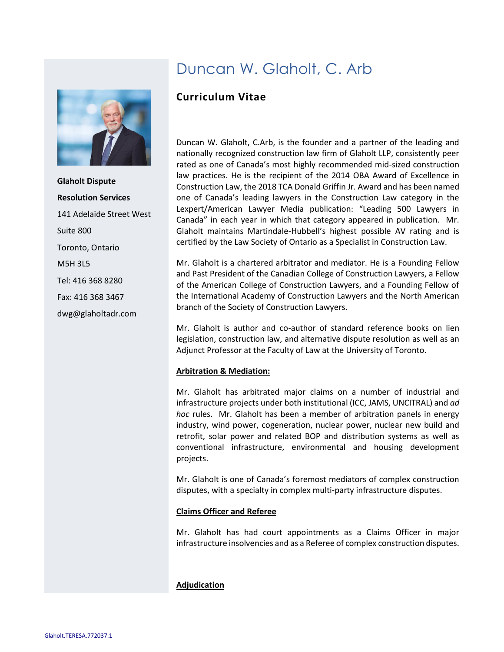

**Glaholt Dispute Resolution Services** 141 Adelaide Street West Suite 800 Toronto, Ontario M5H 3L5 Tel: 416 368 8280 Fax: 416 368 3467 dwg@glaholtadr.com

# Duncan W. Glaholt, C. Arb

## **Curriculum Vitae**

Duncan W. Glaholt, C.Arb, is the founder and a partner of the leading and nationally recognized construction law firm of Glaholt LLP, consistently peer rated as one of Canada's most highly recommended mid-sized construction law practices. He is the recipient of the 2014 OBA Award of Excellence in Construction Law, the 2018 TCA Donald Griffin Jr. Award and has been named one of Canada's leading lawyers in the Construction Law category in the Lexpert/American Lawyer Media publication: "Leading 500 Lawyers in Canada" in each year in which that category appeared in publication. Mr. Glaholt maintains Martindale-Hubbell's highest possible AV rating and is certified by the Law Society of Ontario as a Specialist in Construction Law.

Mr. Glaholt is a chartered arbitrator and mediator. He is a Founding Fellow and Past President of the Canadian College of Construction Lawyers, a Fellow of the American College of Construction Lawyers, and a Founding Fellow of the International Academy of Construction Lawyers and the North American branch of the Society of Construction Lawyers.

Mr. Glaholt is author and co-author of standard reference books on lien legislation, construction law, and alternative dispute resolution as well as an Adjunct Professor at the Faculty of Law at the University of Toronto.

## **Arbitration & Mediation:**

Mr. Glaholt has arbitrated major claims on a number of industrial and infrastructure projects under both institutional (ICC, JAMS, UNCITRAL) and *ad hoc* rules. Mr. Glaholt has been a member of arbitration panels in energy industry, wind power, cogeneration, nuclear power, nuclear new build and retrofit, solar power and related BOP and distribution systems as well as conventional infrastructure, environmental and housing development projects.

Mr. Glaholt is one of Canada's foremost mediators of complex construction disputes, with a specialty in complex multi-party infrastructure disputes.

## **Claims Officer and Referee**

Mr. Glaholt has had court appointments as a Claims Officer in major infrastructure insolvencies and as a Referee of complex construction disputes.

## **Adjudication**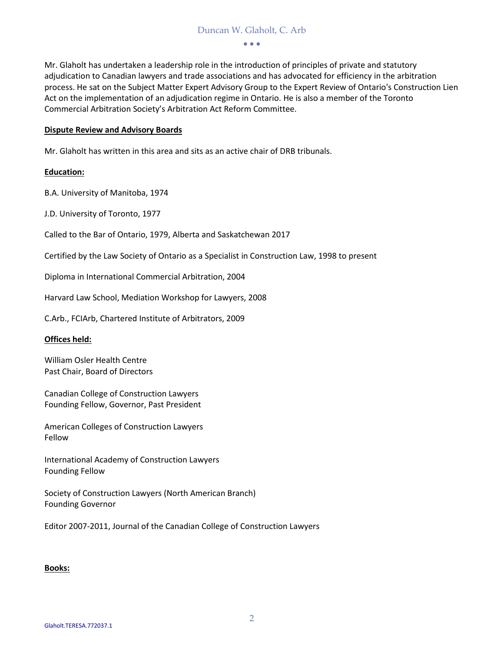#### Duncan W. Glaholt, C. Arb

• • •

Mr. Glaholt has undertaken a leadership role in the introduction of principles of private and statutory adjudication to Canadian lawyers and trade associations and has advocated for efficiency in the arbitration process. He sat on the Subject Matter Expert Advisory Group to the Expert Review of Ontario's Construction Lien Act on the implementation of an adjudication regime in Ontario. He is also a member of the Toronto Commercial Arbitration Society's Arbitration Act Reform Committee.

#### **Dispute Review and Advisory Boards**

Mr. Glaholt has written in this area and sits as an active chair of DRB tribunals.

#### **Education:**

B.A. University of Manitoba, 1974

J.D. University of Toronto, 1977

Called to the Bar of Ontario, 1979, Alberta and Saskatchewan 2017

Certified by the Law Society of Ontario as a Specialist in Construction Law, 1998 to present

Diploma in International Commercial Arbitration, 2004

Harvard Law School, Mediation Workshop for Lawyers, 2008

C.Arb., FCIArb, Chartered Institute of Arbitrators, 2009

#### **Offices held:**

William Osler Health Centre Past Chair, Board of Directors

Canadian College of Construction Lawyers Founding Fellow, Governor, Past President

American Colleges of Construction Lawyers Fellow

International Academy of Construction Lawyers Founding Fellow

Society of Construction Lawyers (North American Branch) Founding Governor

Editor 2007-2011, Journal of the Canadian College of Construction Lawyers

#### **Books:**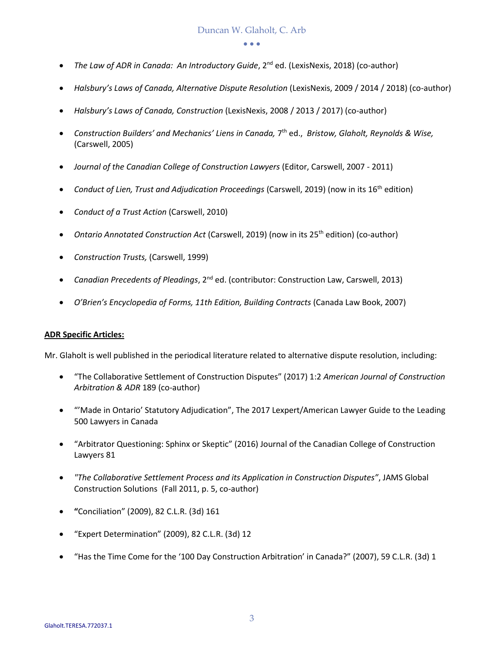• • •

- *The Law of ADR in Canada: An Introductory Guide*, 2<sup>nd</sup> ed. (LexisNexis, 2018) (co-author)
- *Halsbury's Laws of Canada, Alternative Dispute Resolution* (LexisNexis, 2009 / 2014 / 2018) (co-author)
- *Halsbury's Laws of Canada, Construction* (LexisNexis, 2008 / 2013 / 2017) (co-author)
- *Construction Builders' and Mechanics' Liens in Canada,* 7 th ed., *Bristow, Glaholt, Reynolds & Wise,* (Carswell, 2005)
- *Journal of the Canadian College of Construction Lawyers* (Editor, Carswell, 2007 2011)
- *Conduct of Lien, Trust and Adjudication Proceedings* (Carswell, 2019) (now in its 16th edition)
- *Conduct of a Trust Action* (Carswell, 2010)
- *Ontario Annotated Construction Act* (Carswell, 2019) (now in its 25<sup>th</sup> edition) (co-author)
- *Construction Trusts,* (Carswell, 1999)
- *Canadian Precedents of Pleadings*, 2nd ed. (contributor: Construction Law, Carswell, 2013)
- *O'Brien's Encyclopedia of Forms, 11th Edition, Building Contracts* (Canada Law Book, 2007)

#### **ADR Specific Articles:**

Mr. Glaholt is well published in the periodical literature related to alternative dispute resolution, including:

- "The Collaborative Settlement of Construction Disputes" (2017) 1:2 *American Journal of Construction Arbitration & ADR* 189 (co-author)
- "'Made in Ontario' Statutory Adjudication", The 2017 Lexpert/American Lawyer Guide to the Leading 500 Lawyers in Canada
- "Arbitrator Questioning: Sphinx or Skeptic" (2016) Journal of the Canadian College of Construction Lawyers 81
- *"The Collaborative Settlement Process and its Application in Construction Disputes"*, JAMS Global Construction Solutions (Fall 2011, p. 5, co-author)
- **"**Conciliation" (2009), 82 C.L.R. (3d) 161
- "Expert Determination" (2009), 82 C.L.R. (3d) 12
- "Has the Time Come for the '100 Day Construction Arbitration' in Canada?" (2007), 59 C.L.R. (3d) 1